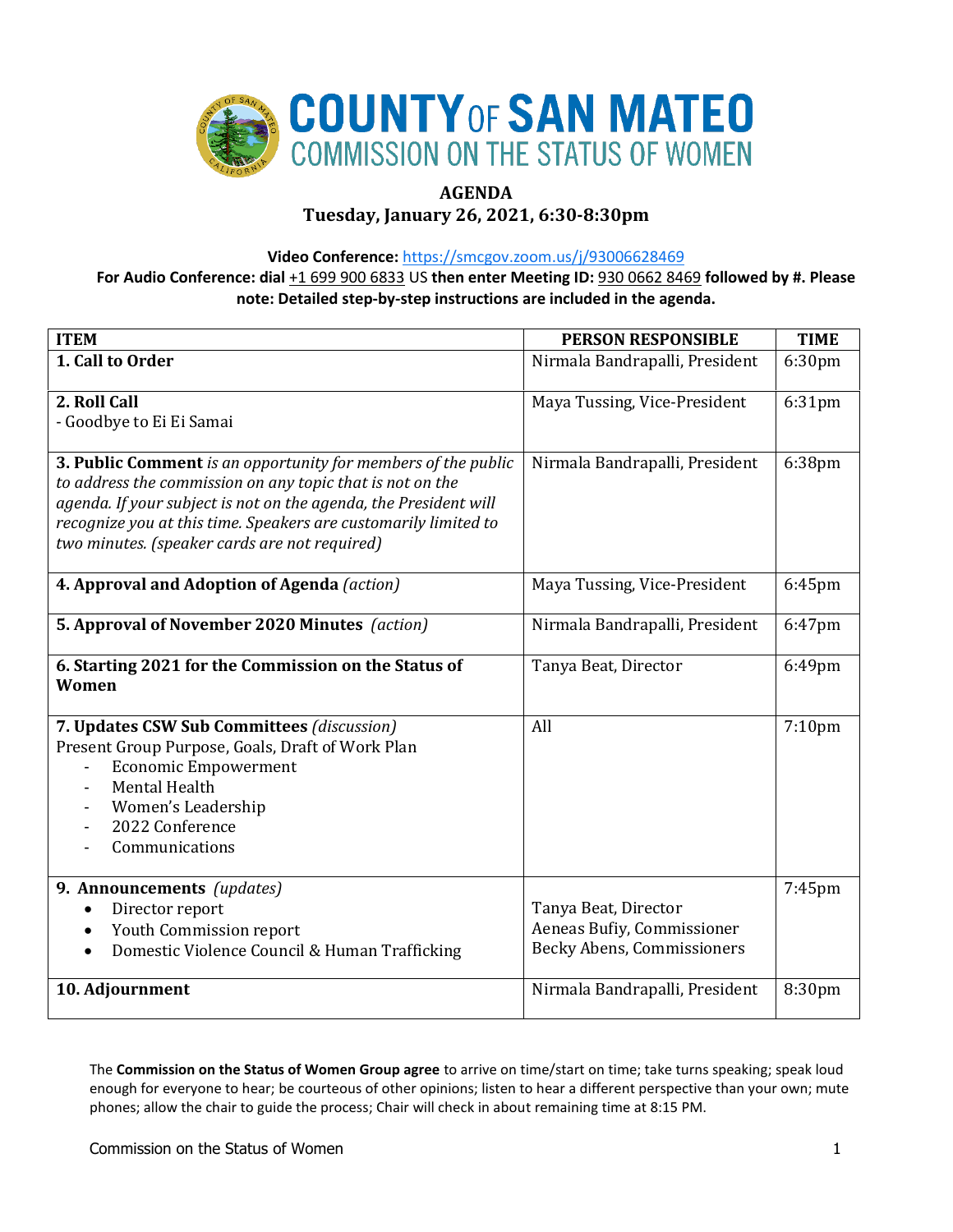

### **AGENDA**

**Tuesday, January 26, 2021, 6:30-8:30pm**

**Video Conference:** <https://smcgov.zoom.us/j/93006628469>

**For Audio Conference: dial** +1 699 900 6833 US **then enter Meeting ID:** 930 0662 8469 **followed by #. Please note: Detailed step-by-step instructions are included in the agenda.**

| <b>ITEM</b>                                                                                                                                                                                                                                                                                                        | <b>PERSON RESPONSIBLE</b>                                                               | <b>TIME</b> |
|--------------------------------------------------------------------------------------------------------------------------------------------------------------------------------------------------------------------------------------------------------------------------------------------------------------------|-----------------------------------------------------------------------------------------|-------------|
| 1. Call to Order                                                                                                                                                                                                                                                                                                   | Nirmala Bandrapalli, President                                                          | 6:30pm      |
| 2. Roll Call<br>- Goodbye to Ei Ei Samai                                                                                                                                                                                                                                                                           | Maya Tussing, Vice-President                                                            | 6:31pm      |
| 3. Public Comment is an opportunity for members of the public<br>to address the commission on any topic that is not on the<br>agenda. If your subject is not on the agenda, the President will<br>recognize you at this time. Speakers are customarily limited to<br>two minutes. (speaker cards are not required) | Nirmala Bandrapalli, President                                                          | 6:38pm      |
| 4. Approval and Adoption of Agenda (action)                                                                                                                                                                                                                                                                        | Maya Tussing, Vice-President                                                            | 6:45pm      |
| 5. Approval of November 2020 Minutes (action)                                                                                                                                                                                                                                                                      | Nirmala Bandrapalli, President                                                          | 6:47pm      |
| 6. Starting 2021 for the Commission on the Status of<br><b>Women</b>                                                                                                                                                                                                                                               | Tanya Beat, Director                                                                    | 6:49pm      |
| 7. Updates CSW Sub Committees (discussion)<br>Present Group Purpose, Goals, Draft of Work Plan<br><b>Economic Empowerment</b><br>$\qquad \qquad \blacksquare$<br><b>Mental Health</b><br>Women's Leadership<br>2022 Conference<br>Communications                                                                   | All                                                                                     | 7:10pm      |
| 9. Announcements (updates)<br>Director report<br>Youth Commission report<br>Domestic Violence Council & Human Trafficking                                                                                                                                                                                          | Tanya Beat, Director<br>Aeneas Bufiy, Commissioner<br><b>Becky Abens, Commissioners</b> | 7:45pm      |
| 10. Adjournment                                                                                                                                                                                                                                                                                                    | Nirmala Bandrapalli, President                                                          | 8:30pm      |

The **Commission on the Status of Women Group agree** to arrive on time/start on time; take turns speaking; speak loud enough for everyone to hear; be courteous of other opinions; listen to hear a different perspective than your own; mute phones; allow the chair to guide the process; Chair will check in about remaining time at 8:15 PM.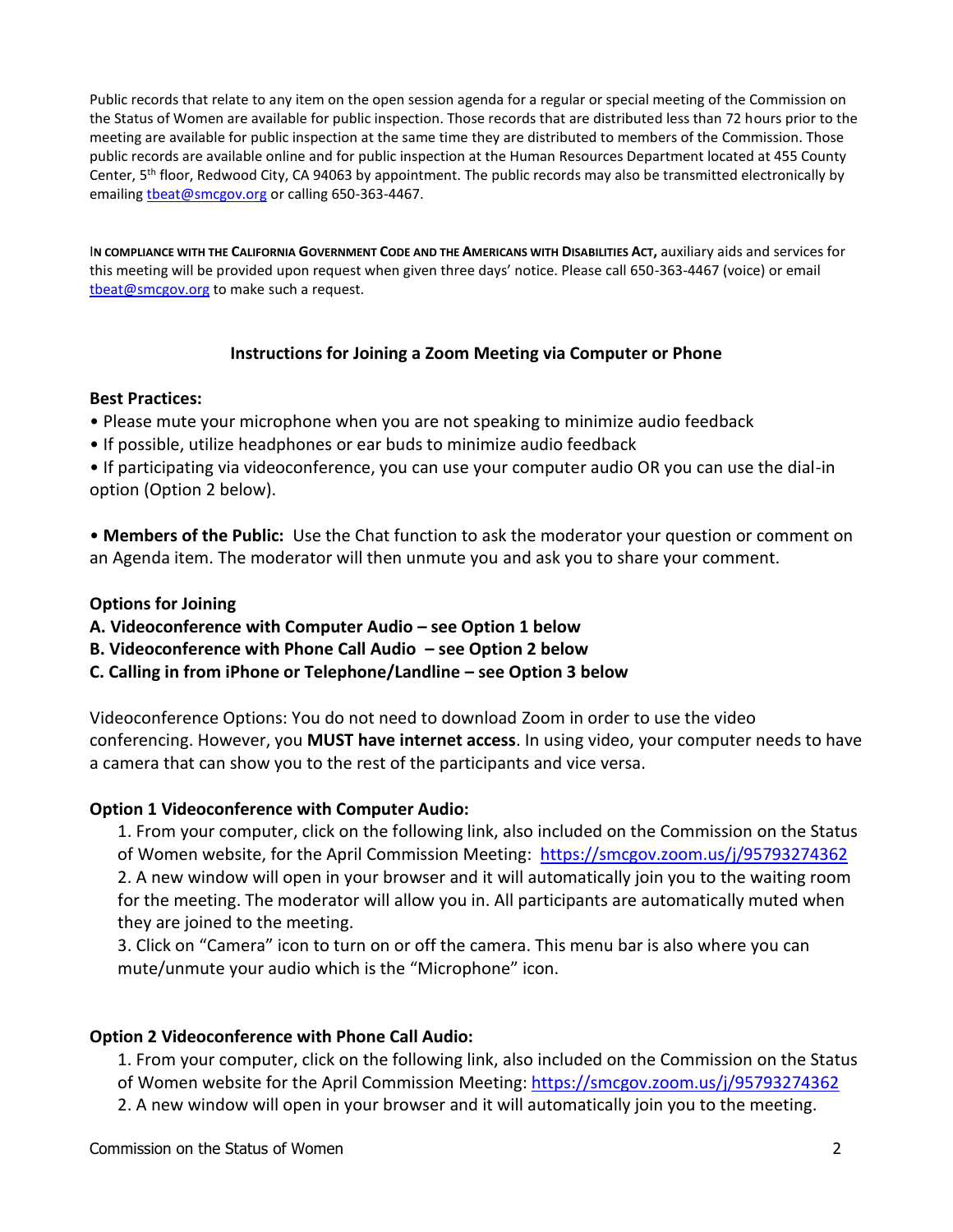Public records that relate to any item on the open session agenda for a regular or special meeting of the Commission on the Status of Women are available for public inspection. Those records that are distributed less than 72 hours prior to the meeting are available for public inspection at the same time they are distributed to members of the Commission. Those public records are available online and for public inspection at the Human Resources Department located at 455 County Center, 5<sup>th</sup> floor, Redwood City, CA 94063 by appointment. The public records may also be transmitted electronically by emailing theat@smcgov.org or calling 650-363-4467.

I**N COMPLIANCE WITH THE CALIFORNIA GOVERNMENT CODE AND THE AMERICANS WITH DISABILITIES ACT,** auxiliary aids and services for this meeting will be provided upon request when given three days' notice. Please call 650-363-4467 (voice) or email [tbeat@smcgov.org](mailto:tbeat@smcgov.org) to make such a request.

## **Instructions for Joining a Zoom Meeting via Computer or Phone**

#### **Best Practices:**

- Please mute your microphone when you are not speaking to minimize audio feedback
- If possible, utilize headphones or ear buds to minimize audio feedback
- If participating via videoconference, you can use your computer audio OR you can use the dial-in option (Option 2 below).

• **Members of the Public:** Use the Chat function to ask the moderator your question or comment on an Agenda item. The moderator will then unmute you and ask you to share your comment.

#### **Options for Joining**

- **A. Videoconference with Computer Audio – see Option 1 below**
- **B. Videoconference with Phone Call Audio – see Option 2 below**
- **C. Calling in from iPhone or Telephone/Landline – see Option 3 below**

Videoconference Options: You do not need to download Zoom in order to use the video conferencing. However, you **MUST have internet access**. In using video, your computer needs to have a camera that can show you to the rest of the participants and vice versa.

#### **Option 1 Videoconference with Computer Audio:**

1. From your computer, click on the following link, also included on the Commission on the Status of Women website, for the April Commission Meeting: <https://smcgov.zoom.us/j/95793274362> 2. A new window will open in your browser and it will automatically join you to the waiting room for the meeting. The moderator will allow you in. All participants are automatically muted when they are joined to the meeting.

3. Click on "Camera" icon to turn on or off the camera. This menu bar is also where you can mute/unmute your audio which is the "Microphone" icon.

#### **Option 2 Videoconference with Phone Call Audio:**

1. From your computer, click on the following link, also included on the Commission on the Status of Women website for the April Commission Meeting:<https://smcgov.zoom.us/j/95793274362> 2. A new window will open in your browser and it will automatically join you to the meeting.